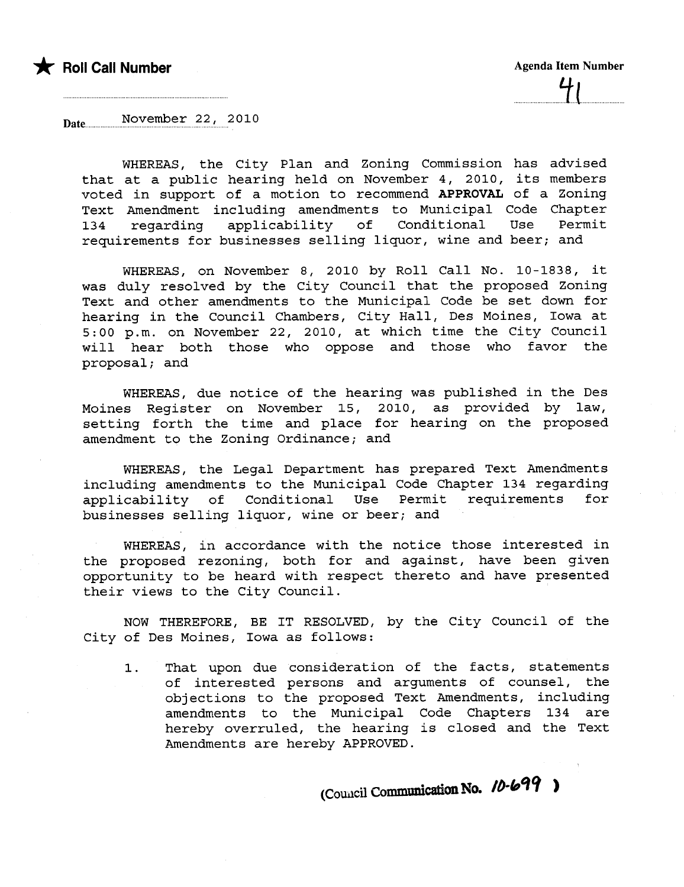

Date November 22, 2010

WHEREAS, the City Plan and Zoning Commission has advised that at a public hearing held on November 4, 2010, its members voted in support of a motion to recommend APPROVAL of a Zoning Text Amendment including amendments to Municipal Code Chapter 134 regarding applicability of Conditional Use Permit requirements for businesses selling liquor, wine and beer; and

WHEREAS, on November 8, 2010 by Roll Call No. 10-1838, it was duly resolved by the City Council that the proposed Zoning Text and other amendments to the Municipal Code be set down for hearing in the Council Chambers, City Hall, Des Moines, Iowa at 5:00 p.m. on November 22, 2010, at which time the City Council will hear both those who oppose and those who favor the  $proposal;$  and

WHEREAS, due notice of the hearing was published in the Des Moines Register on November 15, 2010, as provided by law, setting forth the time and place for hearing on the proposed amendment to the Zoning Ordinance; and

WHEREAS, the Legal Department has prepared Text Amendments including amendments to the Municipal Code Chapter 134 regarding applicability of Conditional Use Permit requirements for businesses selling liquor, wine or beer; and

WHEREAS, in accordance with the notice those interested in the proposed rezoning, both for and against, have been given opportunity to be heard with respect thereto and have presented their views to the City Council.

NOW THEREFORE, BE IT RESOLVED, by the City Council of the City of Des Moines, Iowa as follows:

1. That upon due consideration of the facts, statements of interested persons and arguments of counsel, the obj ections to the proposed Text Amendments, including amendments to the Municipal Code Chapters 134 are hereby overruled, the hearing is closed and the Text Amendments are hereby APPROVED.

(Council Communication No. 10-699)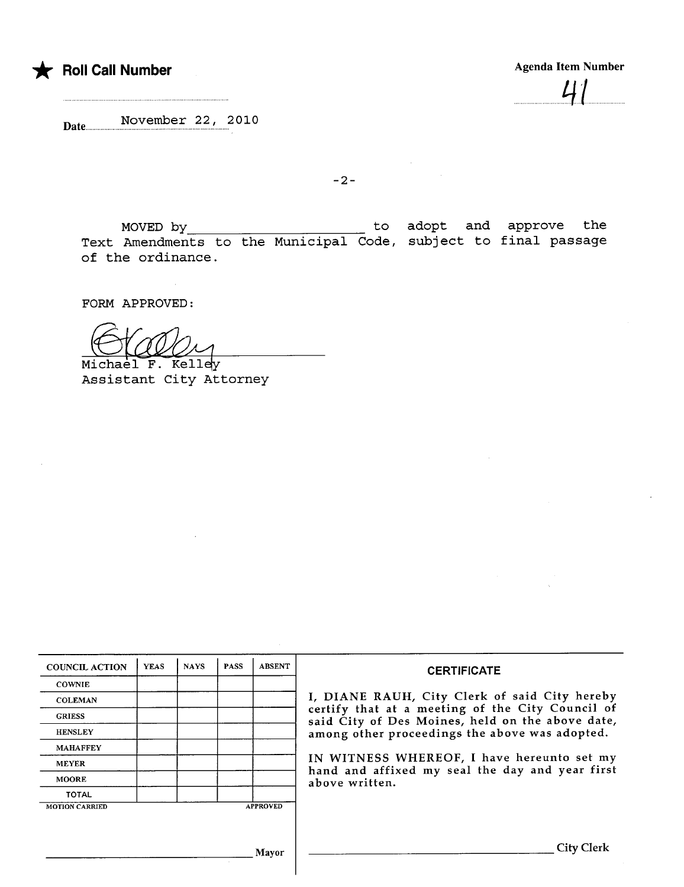

 $.71$ 

Date November 22, 2010

 $-2-$ 

MOVED by to<br>Appropriate to the Municipal Gode Text Amendments to the Municipal Code, of the ordinance. adopt and approve the subject to final passage

FORM APPROVED:

Michael F. Kelley Assistant City Attorney

| <b>COUNCIL ACTION</b> | <b>YEAS</b> | <b>NAYS</b> | <b>PASS</b> | <b>ABSENT</b>   | <b>CERTIFICATE</b>                                                                                                                                                                                                                                                                                       |  |  |  |  |  |
|-----------------------|-------------|-------------|-------------|-----------------|----------------------------------------------------------------------------------------------------------------------------------------------------------------------------------------------------------------------------------------------------------------------------------------------------------|--|--|--|--|--|
| <b>COWNIE</b>         |             |             |             |                 |                                                                                                                                                                                                                                                                                                          |  |  |  |  |  |
| <b>COLEMAN</b>        |             |             |             |                 | I, DIANE RAUH, City Clerk of said City hereby<br>certify that at a meeting of the City Council of<br>said City of Des Moines, held on the above date,<br>among other proceedings the above was adopted.<br>IN WITNESS WHEREOF, I have hereunto set my<br>hand and affixed my seal the day and year first |  |  |  |  |  |
| <b>GRIESS</b>         |             |             |             |                 |                                                                                                                                                                                                                                                                                                          |  |  |  |  |  |
| <b>HENSLEY</b>        |             |             |             |                 |                                                                                                                                                                                                                                                                                                          |  |  |  |  |  |
| <b>MAHAFFEY</b>       |             |             |             |                 |                                                                                                                                                                                                                                                                                                          |  |  |  |  |  |
| <b>MEYER</b>          |             |             |             |                 |                                                                                                                                                                                                                                                                                                          |  |  |  |  |  |
| <b>MOORE</b>          |             |             |             |                 | above written.                                                                                                                                                                                                                                                                                           |  |  |  |  |  |
| <b>TOTAL</b>          |             |             |             |                 |                                                                                                                                                                                                                                                                                                          |  |  |  |  |  |
| <b>MOTION CARRIED</b> |             |             |             | <b>APPROVED</b> |                                                                                                                                                                                                                                                                                                          |  |  |  |  |  |
|                       |             |             |             |                 |                                                                                                                                                                                                                                                                                                          |  |  |  |  |  |
|                       |             |             |             |                 | City Clerk                                                                                                                                                                                                                                                                                               |  |  |  |  |  |
| Mavor                 |             |             |             |                 |                                                                                                                                                                                                                                                                                                          |  |  |  |  |  |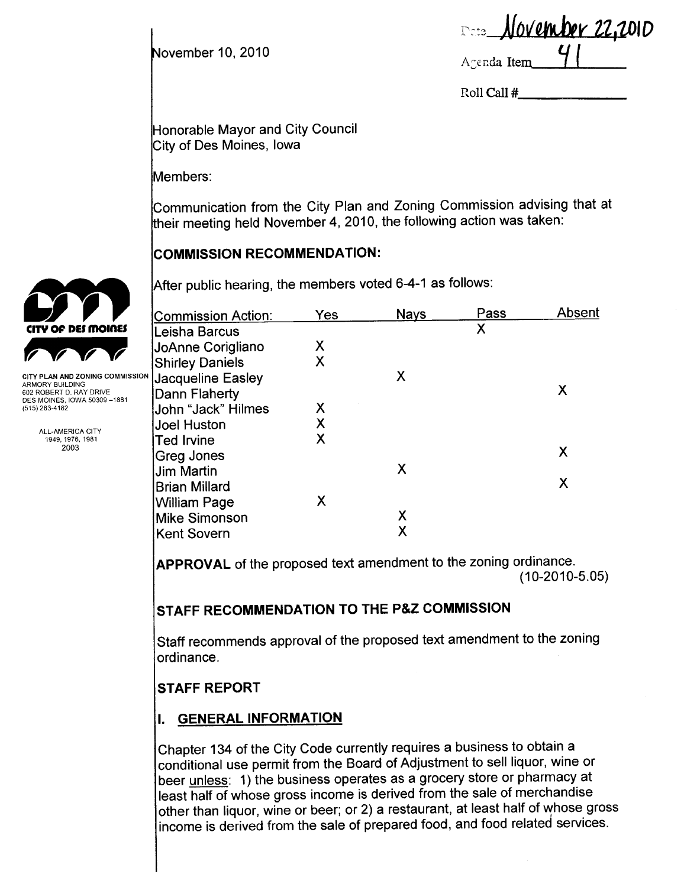November 10, 2010

<u>November 22,2010</u>  $\mathfrak{l}$   $\mathfrak{c}$  to Agenda Item

Roll Call #

Honorable Mayor and City Council City of Des Moines, Iowa

Members:

Communication from the City Plan and Zoning Commission advising that at their meeting held November 4, 2010, the following action was taken:

## COMMISSION RECOMMENDATION:

After public hearing, the members voted 6-4-1 as follows:

|                                                         | <b>Commission Action:</b> | Yes | <b>Nays</b> | Pass | Absent |
|---------------------------------------------------------|---------------------------|-----|-------------|------|--------|
| <b>CITY OF DES MOINES</b>                               | Leisha Barcus             |     |             | X    |        |
|                                                         | JoAnne Corigliano         | Χ   |             |      |        |
|                                                         | <b>Shirley Daniels</b>    | Χ   |             |      |        |
| CITY PLAN AND ZONING COMMISSION<br>ARMORY BUILDING      | Jacqueline Easley         |     | Х           |      |        |
| 602 ROBERT D. RAY DRIVE<br>DES MOINES, IOWA 50309 -1881 | Dann Flaherty             |     |             |      | Χ      |
| (515) 283-4182                                          | John "Jack" Hilmes        | Χ   |             |      |        |
| ALL-AMERICA CITY                                        | Joel Huston               | Χ   |             |      |        |
| 1949, 1976, 1981                                        | <b>Ted Irvine</b>         | Χ   |             |      |        |
| 2003                                                    | Greg Jones                |     |             |      | Χ      |
|                                                         | <b>Jim Martin</b>         |     | X           |      |        |
|                                                         | <b>Brian Millard</b>      |     |             |      | X      |
|                                                         | <b>William Page</b>       | Χ   |             |      |        |
|                                                         | <b>Mike Simonson</b>      |     | Χ           |      |        |
|                                                         | Kent Sovern               |     | v<br>Λ      |      |        |
|                                                         |                           |     |             |      |        |

**APPROVAL** of the proposed text amendment to the zoning ordinance. (10-2010-5.05)

# STAFF RECOMMENDATION TO THE P&Z COMMISSION

Staff recommends approval of the proposed text amendment to the zoning ordinance.

# STAFF REPORT

# I. GENERAL INFORMATION

Chapter 134 of the City Code currently requires a business to obtain a conditional use permit from the Board of Adjustment to sell liquor, wine or beer unless: 1) the business operates as a grocery store or pharmacy at least half of whose gross income is derived from the sale of merchandise other than liquor, wine or beer; or 2) a restaurant, at least half of whose gross income is derived from the sale of prepared food, and food related services.

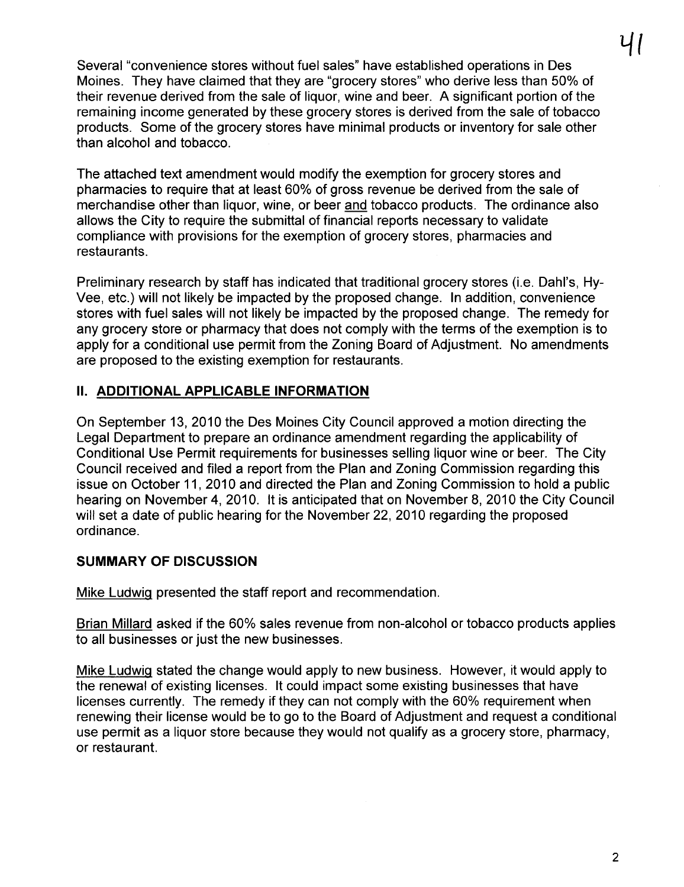Several "convenience stores without fuel sales" have established operations in Des Moines. They have claimed that they are "grocery stores" who derive less than 50% of their revenue derived from the sale of liquor, wine and beer. A significant portion of the remaining income generated by these grocery stores is derived from the sale of tobacco products. Some of the grocery stores have minimal products or inventory for sale other than alcohol and tobacco.

The attached text amendment would modify the exemption for grocery stores and pharmacies to require that at least 60% of gross revenue be derived from the sale of merchandise other than liquor, wine, or beer and tobacco products. The ordinance also allows the City to require the submittal of financial reports necessary to validate compliance with provisions for the exemption of grocery stores, pharmacies and restaurants.

Preliminary research by staff has indicated that traditional grocery stores (i.e. Dahl's, Hy-Vee, etc.) will not likely be impacted by the proposed change. In addition, convenience stores with fuel sales will not likely be impacted by the proposed change. The remedy for any grocery store or pharmacy that does not comply with the terms of the exemption is to apply for a conditional use permit from the Zoning Board of Adjustment. No amendments are proposed to the existing exemption for restaurants.

## II. ADDITIONAL APPLICABLE INFORMATION

On September 13, 2010 the Des Moines City Council approved a motion directing the Legal Department to prepare an ordinance amendment regarding the applicability of Conditional Use Permit requirements for businesses selling liquor wine or beer. The City Council received and filed a report from the Plan and Zoning Commission regarding this issue on October 11, 2010 and directed the Plan and Zoning Commission to hold a public hearing on November 4, 2010. It is anticipated that on November 8, 2010 the City Council will set a date of public hearing for the November 22, 2010 regarding the proposed ordinance.

# SUMMARY OF DISCUSSION

Mike Ludwiq presented the staff report and recommendation.

Brian Millard asked if the 60% sales revenue from non-alcohol or tobacco products applies to all businesses or just the new businesses.

Mike Ludwiq stated the change would apply to new business. However, it would apply to the renewal of existing licenses. It could impact some existing businesses that have licenses currently. The remedy if they can not comply with the 60% requirement when renewing their license would be to go to the Board of Adjustment and request a conditional use permit as a liquor store because they would not qualify as a grocery store, pharmacy, or restaurant.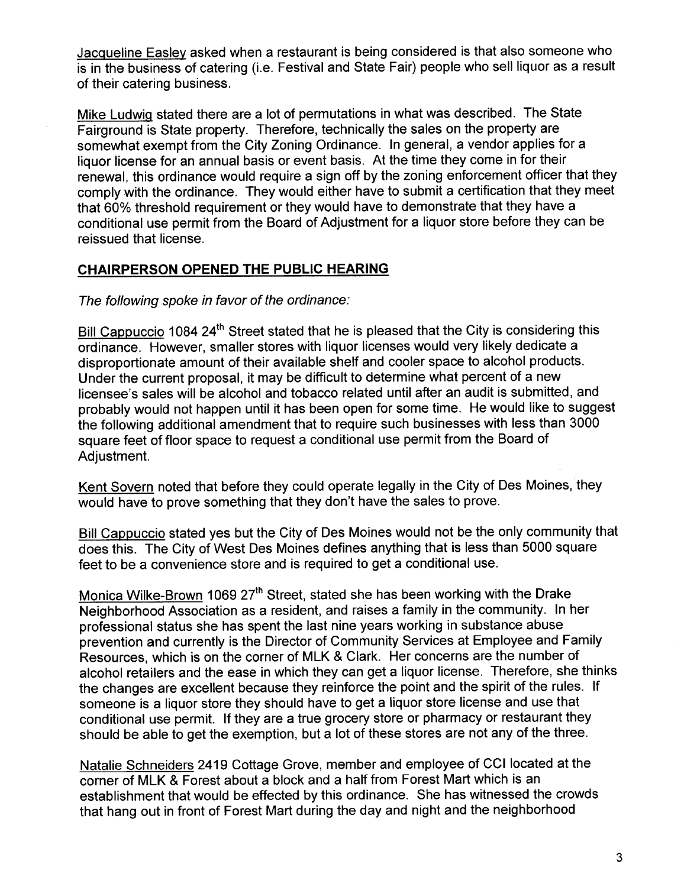Jacqueline Easlev asked when a restaurant is being considered is that also someone who is in the business of catering (i.e. Festival and State Fair) people who sell liquor as a result of their catering business.

Mike Ludwiq stated there are a lot of permutations in what was described. The State Fairground is State property. Therefore, technically the sales on the property are somewhat exempt from the City Zoning Ordinance. In general, a vendor applies for a liquor license for an annual basis or event basis. At the time they come in for their renewal, this ordinance would require a sign off by the zoning enforcement officer that they comply with the ordinance. They would either have to submit a certification that they meet that 60% threshold requirement or they would have to demonstrate that they have a conditional use permit from the Board of Adjustment for a liquor store before they can be reissued that license.

## CHAIRPERSON OPENED THE PUBLIC HEARING

The following spoke in favor of the ordinance:

Bill Cappuccio 1084 24<sup>th</sup> Street stated that he is pleased that the City is considering this ordinance. However, smaller stores with liquor licenses would very likely dedicate a disproportionate amount of their available shelf and cooler space to alcohol products. Under the current proposal, it may be difficult to determine what percent of a new licensee's sales will be alcohol and tobacco related until after an audit is submitted, and probably would not happen until it has been open for some time. He would like to suggest the following additional amendment that to require such businesses with less than 3000 square feet of floor space to request a conditional use permit from the Board of Adjustment.

Kent Sovern noted that before they could operate legally in the City of Des Moines, they would have to prove something that they don't have the sales to prove.

Bill Cappuccio stated yes but the City of Des Moines would not be the only community that does this. The City of West Des Moines defines anything that is less than 5000 square feet to be a convenience store and is required to get a conditional use.

Monica Wilke-Brown 1069 27<sup>th</sup> Street, stated she has been working with the Drake Neighborhood Association as a resident, and raises a family in the community. In her professional status she has spent the last nine years working in substance abuse prevention and currently is the Director of Community Services at Employee and Family Resources, which is on the corner of MLK & Clark. Her concerns are the number of alcohol retailers and the ease in which they can get a liquor license. Therefore, she thinks the changes are excellent because they reinforce the point and the spirit of the rules. If someone is a liquor store they should have to get a liquor store license and use that conditional use permit. If they are a true grocery store or pharmacy or restaurant they should be able to get the exemption, but a lot of these stores are not any of the three.

Natalie Schneiders 2419 Cottage Grove, member and employee of CCI located at the corner of MLK & Forest about a block and a half from Forest Mart which is an establishment that would be effected by this ordinance. She has witnessed the crowds that hang out in front of Forest Mart during the day and night and the neighborhood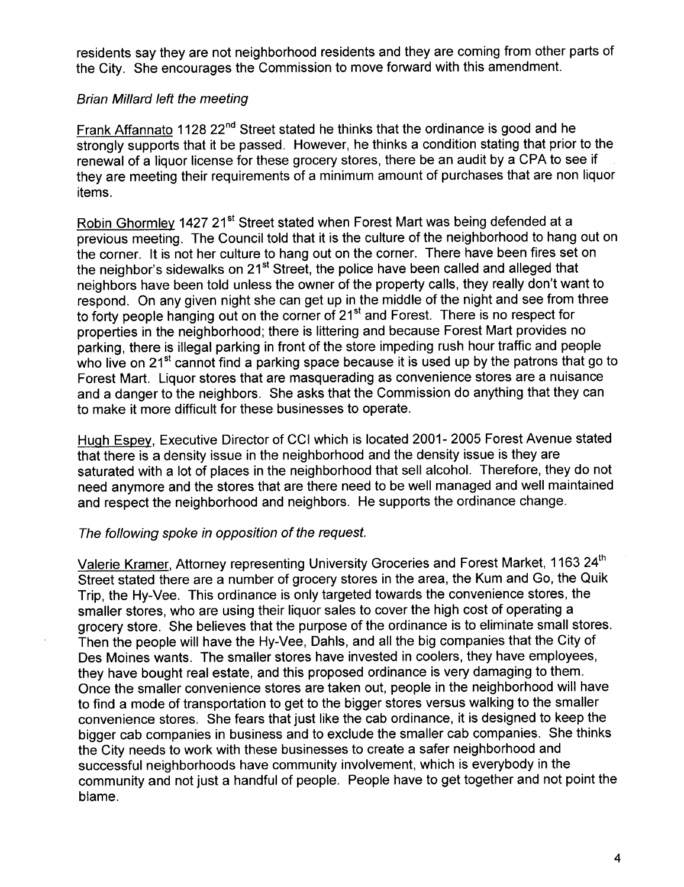residents say they are not neighborhood residents and they are coming from other parts of the City. She encourages the Commission to move forward with this amendment.

#### Brian Milard left the meeting

Frank Affannato 1128 22<sup>nd</sup> Street stated he thinks that the ordinance is good and he strongly supports that it be passed. However, he thinks a condition stating that prior to the renewal of a liquor license for these grocery stores, there be an audit by a CPA to see if they are meeting their requirements of a minimum amount of purchases that are non liquor items.

Robin Ghormley 1427 21<sup>st</sup> Street stated when Forest Mart was being defended at a previous meeting. The Council told that it is the culture of the neighborhood to hang out on the corner. It is not her culture to hang out on the corner. There have been fires set on the neighbor's sidewalks on 21<sup>st</sup> Street, the police have been called and alleged that neighbors have been told unless the owner of the property calls, they really don't want to respond. On any given night she can get up in the middle of the night and see from three to forty people hanging out on the corner of 21<sup>st</sup> and Forest. There is no respect for properties in the neighborhood; there is littering and because Forest Mart provides no parking, there is illegal parking in front of the store impeding rush hour traffic and people who live on 21<sup>st</sup> cannot find a parking space because it is used up by the patrons that go to Forest Mart. Liquor stores that are masquerading as convenience stores are a nuisance and a danger to the neighbors. She asks that the Commission do anything that they can to make it more difficult for these businesses to operate.

Huqh Espey, Executive Director of CCI which is located 2001- 2005 Forest Avenue stated that there is a density issue in the neighborhood and the density issue is they are saturated with a lot of places in the neighborhood that sell alcohol. Therefore, they do not need anymore and the stores that are there need to be well managed and well maintained and respect the neighborhood and neighbors. He supports the ordinance change.

#### The following spoke in opposition of the request.

Valerie Kramer, Attorney representing University Groceries and Forest Market, 1163 24<sup>th</sup> Street stated there are a number of grocery stores in the area, the Kum and Go, the Quik Trip, the Hy-Vee. This ordinance is only targeted towards the convenience stores, the smaller stores, who are using their liquor sales to cover the high cost of operating a grocery store. She believes that the purpose of the ordinance is to eliminate small stores. Then the people will have the Hy-Vee, Dahls, and all the big companies that the City of Des Moines wants. The smaller stores have invested in coolers, they have employees, they have bought real estate, and this proposed ordinance is very damaging to them. Once the smaller convenience stores are taken out, people in the neighborhood will have to find a mode of transportation to get to the bigger stores versus walking to the smaller convenience stores. She fears that just like the cab ordinance, it is designed to keep the bigger cab companies in business and to exclude the smaller cab companies. She thinks the City needs to work with these businesses to create a safer neighborhood and successful neighborhoods have community involvement, which is everybody in the community and not just a handful of people. People have to get together and not point the blame.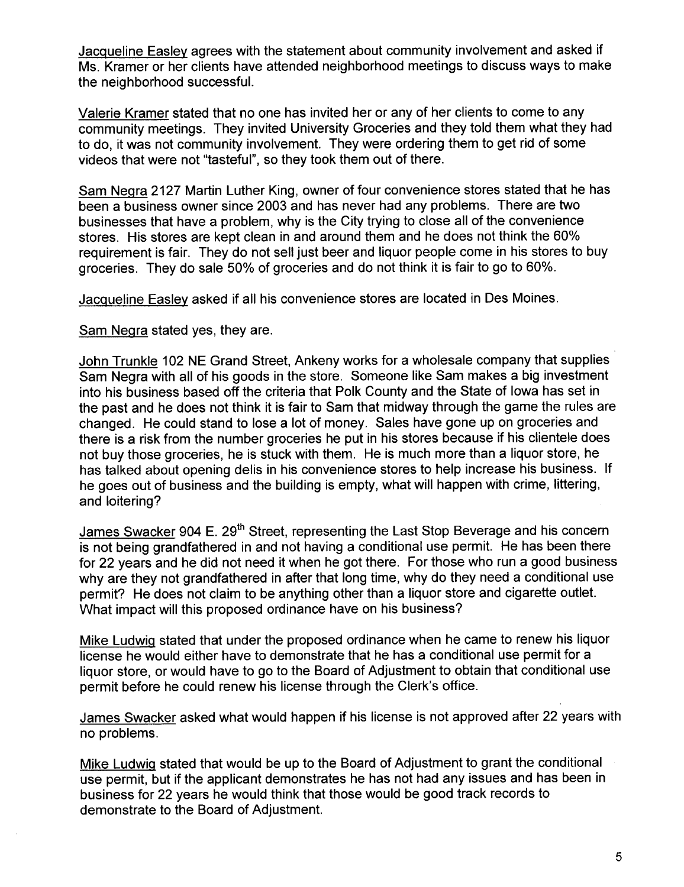Jacqueline Easley agrees with the statement about community involvement and asked if Ms. Kramer or her clients have attended neighborhood meetings to discuss ways to make the neighborhood successfuL.

Valerie Kramer stated that no one has invited her or any of her clients to come to any community meetings. They invited University Groceries and they told them what they had to do, it was not community involvement. They were ordering them to get rid of some videos that were not "tasteful", so they took them out of there.

Sam Neqra 2127 Martin Luther King, owner of four convenience stores stated that he has been a business owner since 2003 and has never had any problems. There are two businesses that have a problem, why is the City trying to close all of the convenience stores. His stores are kept clean in and around them and he does not think the 60% requirement is fair. They do not sell just beer and liquor people come in his stores to buy groceries. They do sale 50% of groceries and do not think it is fair to go to 60%.

Jacqueline Easley asked if all his convenience stores are located in Des Moines.

Sam Neqra stated yes, they are.

John Trunkle 102 NE Grand Street, Ankeny works for a wholesale company that supplies Sam Negra with all of his goods in the store. Someone like Sam makes a big investment into his business based off the criteria that Polk County and the State of Iowa has set in the past and he does not think it is fair to Sam that midway through the game the rules are changed. He could stand to lose a lot of money. Sales have gone up on groceries and there is a risk from the number groceries he put in his stores because if his clientele does not buy those groceries, he is stuck with them. He is much more than a liquor store, he has talked about opening delis in his convenience stores to help increase his business. If he goes out of business and the building is empty, what will happen with crime, littering, and loitering?

James Swacker 904 E. 29<sup>th</sup> Street, representing the Last Stop Beverage and his concern is not being grandfathered in and not having a conditional use permit. He has been there for 22 years and he did not need it when he got there. For those who run a good business why are they not grandfathered in after that long time, why do they need a conditional use permit? He does not claim to be anything other than a liquor store and cigarette outlet. What impact will this proposed ordinance have on his business?

Mike Ludwiq stated that under the proposed ordinance when he came to renew his liquor license he would either have to demonstrate that he has a conditional use permit for a liquor store, or would have to go to the Board of Adjustment to obtain that conditional use permit before he could renew his license through the Clerk's office.

James Swacker asked what would happen if his license is not approved after 22 years with no problems.

Mike Ludwig stated that would be up to the Board of Adjustment to grant the conditional use permit, but if the applicant demonstrates he has not had any issues and has been in business for 22 years he would think that those would be good track records to demonstrate to the Board of Adjustment.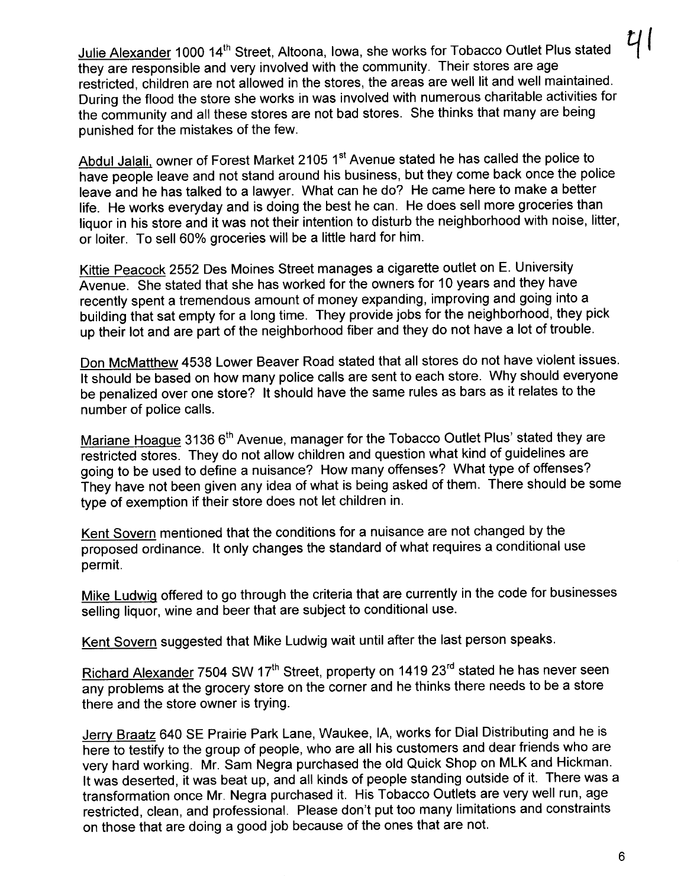Julie Alexander 1000 14<sup>th</sup> Street, Altoona, Iowa, she works for Tobacco Outlet Plus stated they are responsible and very involved with the community. Their stores are age restricted, children are not allowed in the stores, the areas are well lit and well maintained. During the flood the store she works in was involved with numerous charitable activities for the community and all these stores are not bad stores. She thinks that many are being punished for the mistakes of the few.

Abdul Jalali, owner of Forest Market 2105 1<sup>st</sup> Avenue stated he has called the police to have people leave and not stand around his business, but they come back once the police leave and he has talked to a lawyer. What can he do? He came here to make a better life. He works everyday and is doing the best he can. He does sell more groceries than liquor in his store and it was not their intention to disturb the neighborhood with noise, litter, or loiter. To sell 60% groceries wil be a little hard for him.

Kittie Peacock 2552 Des Moines Street manages a cigarette outlet on E. University Avenue. She stated that she has worked for the owners for 10 years and they have recently spent a tremendous amount of money expanding, improving and going into a building that sat empty for a long time. They provide jobs for the neighborhood, they pick up their lot and are part of the neighborhood fiber and they do not have a lot of trouble.

Don McMatthew 4538 Lower Beaver Road stated that all stores do not have violent issues. It should be based on how many police calls are sent to each store. Why should everyone be penalized over one store? It should have the same rules as bars as it relates to the number of police calls.

Mariane Hoaque 3136 6<sup>th</sup> Avenue, manager for the Tobacco Outlet Plus' stated they are restricted stores. They do not allow children and question what kind of guidelines are going to be used to define a nuisance? How many offenses? What type of offenses? They have not been given any idea of what is being asked of them. There should be some type of exemption if their store does not let children in.

Kent Sovern mentioned that the conditions for a nuisance are not changed by the proposed ordinance. It only changes the standard of what requires a conditional use permit.

Mike Ludwig offered to go through the criteria that are currently in the code for businesses selling liquor, wine and beer that are subject to conditional use.

Kent Sovern suggested that Mike Ludwig wait until after the last person speaks.

Richard Alexander 7504 SW 17<sup>th</sup> Street, property on 1419 23<sup>rd</sup> stated he has never seen any problems at the grocery store on the corner and he thinks there needs to be a store there and the store owner is trying.

Jerry Braatz 640 SE Prairie Park Lane, Waukee, lA, works for Dial Distributing and he is here to testify to the group of people, who are all his customers and dear friends who are very hard working. Mr. Sam Negra purchased the old Quick Shop on MLK and Hickman. It was deserted, it was beat up, and all kinds of people standing outside of it. There was a transformation once Mr. Negra purchased it. His Tobacco Outlets are very well run, age restricted, clean, and professional. Please don't put too many limitations and constraints on those that are doing a good job because of the ones that are not.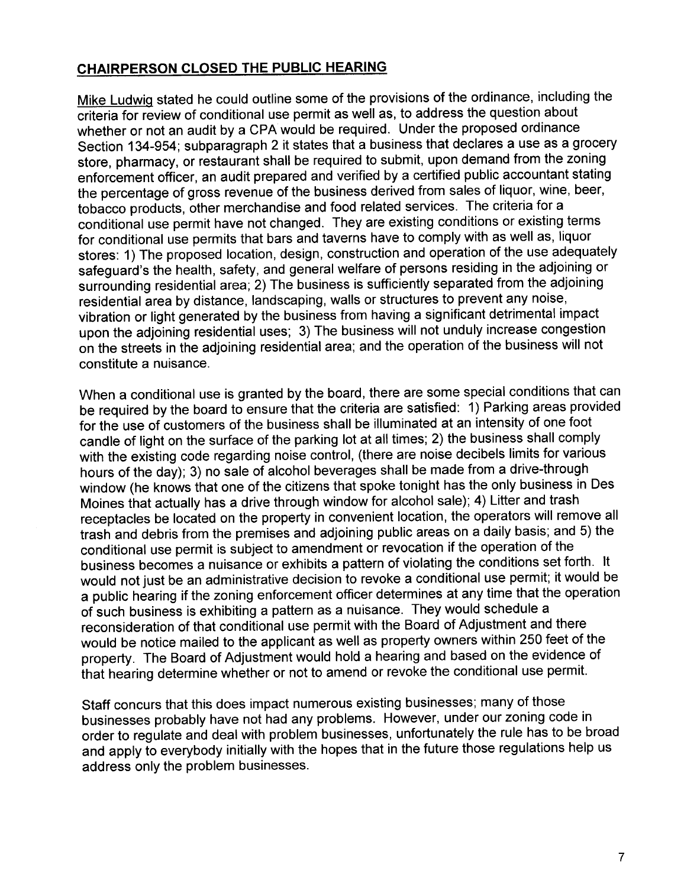## CHAIRPERSON CLOSED THE PUBLIC HEARING

Mike Ludwiq stated he could outline some of the provisions of the ordinance, including the criteria for review of conditional use permit as well as, to address the question about whether or not an audit by a CPA would be required. Under the proposed ordinance Section 134-954; subparagraph 2 it states that a business that declares a use as a grocery store, pharmacy, or restaurant shall be required to submit, upon demand from the zoning enforcement officer, an audit prepared and verified by a certified public accountant stating the percentage of gross revenue of the business derived from sales of liquor, wine, beer, tobacco products, other merchandise and food related services. The criteria for a conditional use permit have not changed. They are existing conditions or existing terms for conditional use permits that bars and taverns have to comply with as well as, liquor stores: 1) The proposed location, design, construction and operation of the use adequately safeguard's the health, safety, and general welfare of persons residing in the adjoining or surrounding residential area; 2) The business is sufficiently separated from the adjoining residential area by distance, landscaping, walls or structures to prevent any noise, vibration or light generated by the business from having a significant detrimental impact upon the adjoining residential uses; 3) The business will not unduly increase congestion on the streets in the adjoining residential area; and the operation of the business will not constitute a nuisance.

When a conditional use is granted by the board, there are some special conditions that can be required by the board to ensure that the criteria are satisfied: 1) Parking areas provided for the use of customers of the business shall be illuminated at an intensity of one foot candle of light on the surface of the parking lot at all times; 2) the business shall comply with the existing code regarding noise control, (there are noise decibels limits for various hours of the day); 3) no sale of alcohol beverages shall be made from a drive-through window (he knows that one of the citizens that spoke tonight has the only business in Des Moines that actually has a drive through window for alcohol sale); 4) Litter and trash receptacles be located on the property in convenient location, the operators will remove all trash and debris from the premises and adjoining public areas on a daily basis; and 5) the conditional use permit is subject to amendment or revocation if the operation of the business becomes a nuisance or exhibits a pattern of violating the conditions set forth. It would not just be an administrative decision to revoke a conditional use permit; it would be a public hearing if the zoning enforcement officer determines at any time that the operation of such business is exhibiting a pattern as a nuisance. They would schedule a reconsideration of that conditional use permit with the Board of Adjustment and there would be notice mailed to the applicant as well as property owners within 250 feet of the property. The Board of Adjustment would hold a hearing and based on the evidence of that hearing determine whether or not to amend or revoke the conditional use permit.

Staff concurs that this does impact numerous existing businesses; many of those businesses probably have not had any problems. However, under our zoning code in order to regulate and deal with problem businesses, unfortunately the rule has to be broad and apply to everybody initially with the hopes that in the future those regulations help us address only the problem businesses.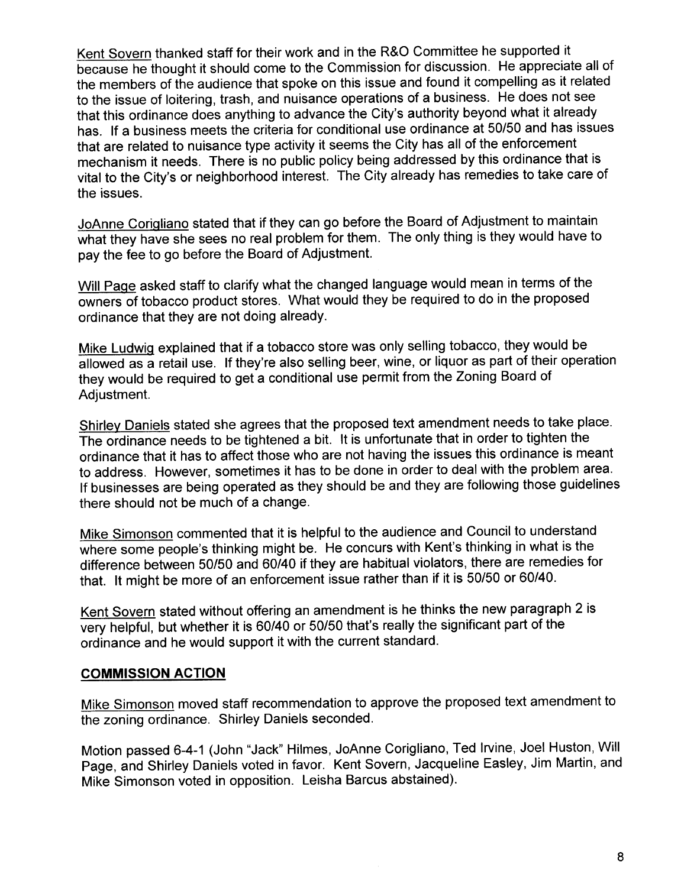Kent Sovern thanked staff for their work and in the R&O Committee he supported it because he thought it should come to the Commission for discussion. He appreciate all of the members of the audience that spoke on this issue and found it compelling as it related to the issue of loitering, trash, and nuisance operations of a business. He does not see that this ordinance does anything to advance the City's authority beyond what it already has. If a business meets the criteria for conditional use ordinance at 50/50 and has issues that are related to nuisance type activity it seems the City has all of the enforcement mechanism it needs. There is no public policy being addressed by this ordinance that is vital to the City's or neighborhood interest. The City already has remedies to take care of the issues.

JoAnne Corigliano stated that if they can go before the Board of Adjustment to maintain what they have she sees no real problem for them. The only thing is they would have to pay the fee to go before the Board of Adjustment.

Will Paqe asked staff to clarify what the changed language would mean in terms of the owners of tobacco product stores. What would they be required to do in the proposed ordinance that they are not doing already.

Mike Ludwig explained that if a tobacco store was only selling tobacco, they would be allowed as a retail use. If they're also selling beer, wine, or liquor as part of their operation they would be required to get a conditional use permit from the Zoning Board of Adjustment.

Shirley Daniels stated she agrees that the proposed text amendment needs to take place. The ordinance needs to be tightened a bit. It is unfortunate that in order to tighten the ordinance that it has to affect those who are not having the issues this ordinance is meant to address. However, sometimes it has to be done in order to deal with the problem area. If businesses are being operated as they should be and they are following those guidelines there should not be much of a change.

Mike Simonson commented that it is helpful to the audience and Council to understand where some people's thinking might be. He concurs with Kent's thinking in what is the difference between 50/50 and 60/40 if they are habitual violators, there are remedies for that. It might be more of an enforcement issue rather than if it is 50/50 or 60/40.

Kent Sovern stated without offering an amendment is he thinks the new paragraph 2 is very helpful, but whether it is 60/40 or 50/50 that's really the significant part of the ordinance and he would support it with the current standard.

#### COMMISSION ACTION

Mike Simonson moved staff recommendation to approve the proposed text amendment to the zoning ordinance. Shirley Daniels seconded.

Motion passed 6-4-1 (John "Jack" Hilmes, JoAnne Corigliano, Ted Irvine, Joel Huston, Will Page, and Shirley Daniels voted in favor. Kent Sovern, Jacqueline Easley, Jim Martin, and Mike Simonson voted in opposition. Leisha Barcus abstained).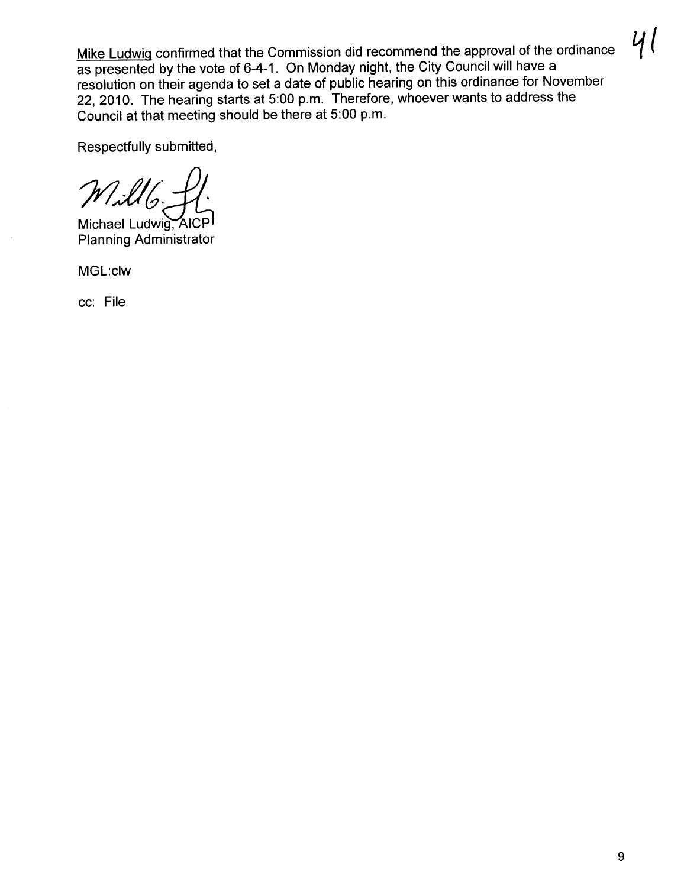Mike Ludwiq confirmed that the Commission did recommend the approval of the ordinance as presented by the vote of 6-4-1. On Monday night, the City Council will have a resolution on their agenda to set a date of public hearing on this ordinance for November 22,2010. The hearing starts at 5:00 p.m. Therefore, whoever wants to address the Council at that meeting should be there at 5:00 p.m.

Respectfully submitted,

 $M116$ 

Michael Ludwig, AICP Planning Administrator

MGL:clw

cc: File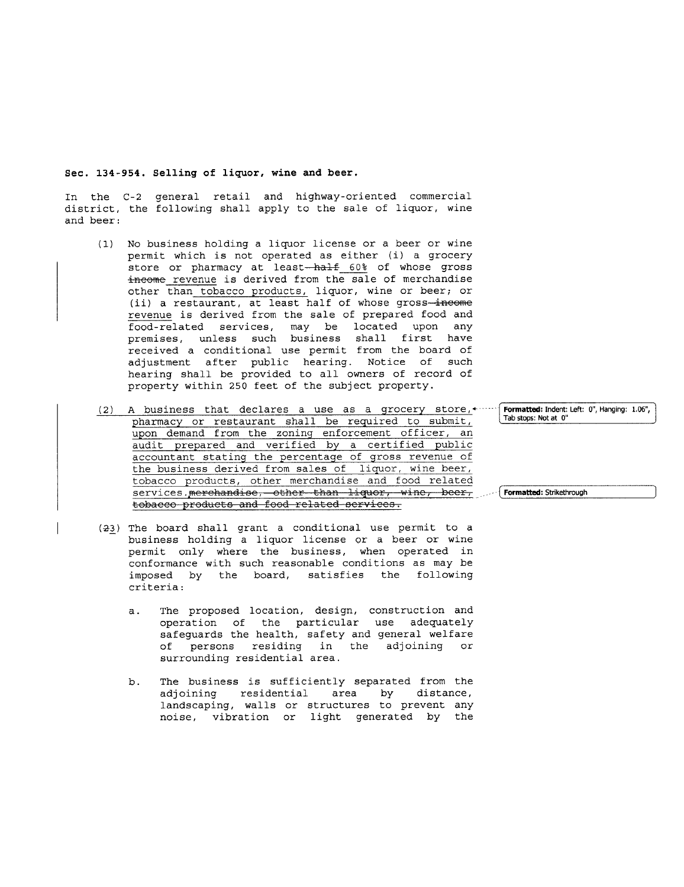#### Sec. 134-954. Selling of liquor, wine and beer.

In the C-2 general retail and highway-oriented commercial district, the following shall apply to the sale of liquor, wine and beer:

- (1) No business holding a liquor license or a beer or wine permit which is not operated as either (i) a grocery store or pharmacy at least-half 60% of whose gross income revenue is derived from the sale of merchandise other than tobacco products, liquor, wine or beer; or (ii) a restaurant, at least half of whose gross-income revenue is derived from the sale of prepared food and revenue is derived from the sale of prepared food and food-related services, may be located upon any premises, unless such business shall first have received a conditional use permit from the board of adjustment after public hearing. Notice of such hearing shall be provided to all owners of record of property within 250 feet of the subject property.
- (2) A business that declares a use as a grocery store, $\cdot$ pharmacy or restaurant shall be required to submit, upon demand from the zoning enforcement officer, an audit prepared and verified by a certified public accountant stating the percentage of gross revenue of the business derived from sales of liquor, wine beer, tobacco products, other merchandise and food related services.merchandise, other than liquor, wine, beer, tobacco products and food related services. Tab stops: Not at 0"  $\int$  Formatted: Strikethrough
- (23) The board shall grant a conditional use permit to a business holding a liquor license or a beer or wine permit only where the business, when operated in conformance with such reasonable conditions as may be imposed by the board, satisfies the following criteria:
	- a. The proposed location, design, construction and operation of the particular use adequately<br>safeguards the health, safety and general welfare of persons residing in the adjoining or surrounding residential area.
	- b. The business is sufficiently separated from the adjoining residential area by distance, residential landscaping, walls or structures to prevent any<br>noise, vibration or light generated by the noise, vibration or light generated by

Formatted: Indent: Left: 0", Hanging: 1.06",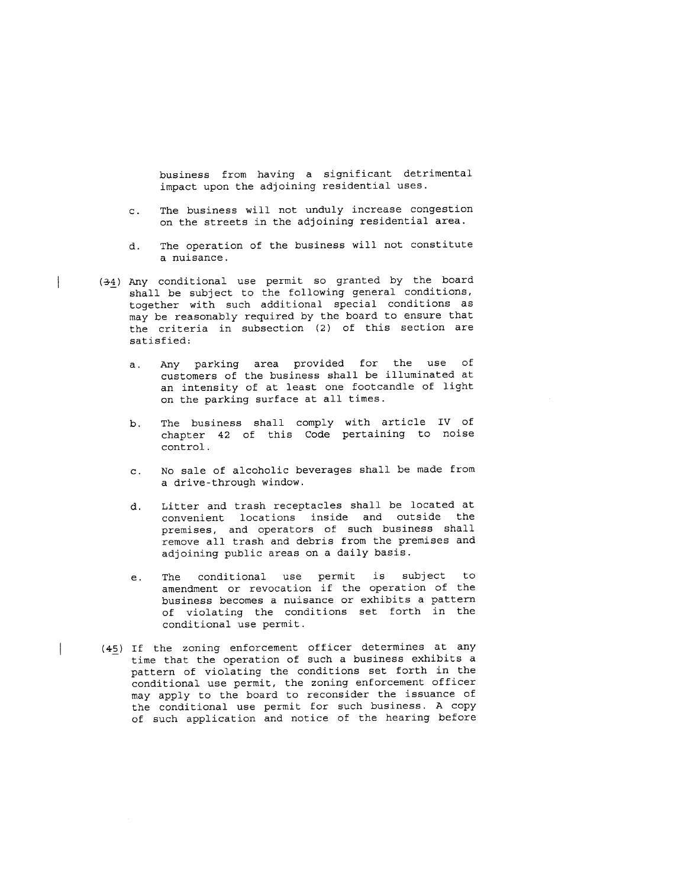business from having a significant detrimental impact upon the adjoining residential uses.

- c. The business will not unduly increase congestion on the streets in the adjoining residential area.
- d. The operation of the business will not constitute a nuisance.
- (34) Any conditional use permit so granted by the board shall be subject to the following general conditions, together with such additional special conditions as may be reasonably required by the board to ensure that the criteria in subsection (2) of this section are satisfied:
	- a. Any parking area provided for the use of customers of the business shall be illuminated at an intensity of at least one footcandle of light on the parking surface at all times.
	- b. The business shall comply with article iv of chapter 42 of this Code pertaining to noise control.
	- c. No sale of alcoholic beverages shall be made from a drive-through window.
	- d. Litter and trash receptacles shall be located at convenient locations inside and outside the premises, and operators of such business shall remove all trash and debris from the premises and adjoining public areas on a daily basis.
	- e. The conditional use permit is subject to amendment or revocation if the operation of the business becomes a nuisance or exhibits a pattern of violating the conditions set forth in the conditional use permit.
- (45) If the zoning enforcement officer determines at any time that the operation of such a business exhibits a pattern of violating the conditions set forth in the conditional use permit, the zoning enforcement officer may apply to the board to reconsider the issuance of the conditional use permit for such business. A copy of such application and notice of the hearing before